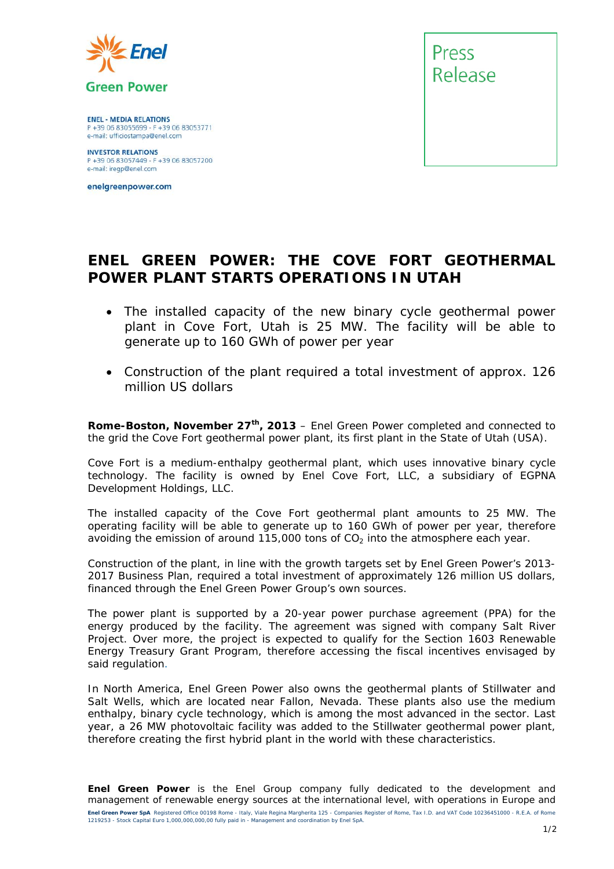

**ENEL - MEDIA RELATIONS** P +39 06 83055699 - F +39 06 83053771 e-mail: ufficiostampa@enel.com

**INVESTOR RELATIONS**<br>P +39 06 83057449 - F +39 06 83057200 e-mail: iregp@enel.com

enelgreenpower.com



## **ENEL GREEN POWER: THE COVE FORT GEOTHERMAL POWER PLANT STARTS OPERATIONS IN UTAH**

- *The installed capacity of the new binary cycle geothermal power plant in Cove Fort, Utah is 25 MW. The facility will be able to generate up to 160 GWh of power per year*
- *Construction of the plant required a total investment of approx. 126 million US dollars*

**Rome-Boston, November 27th, 2013** – Enel Green Power completed and connected to the grid the Cove Fort geothermal power plant, its first plant in the State of Utah (USA).

Cove Fort is a medium-enthalpy geothermal plant, which uses innovative binary cycle technology. The facility is owned by Enel Cove Fort, LLC, a subsidiary of EGPNA Development Holdings, LLC.

The installed capacity of the Cove Fort geothermal plant amounts to 25 MW. The operating facility will be able to generate up to 160 GWh of power per year, therefore avoiding the emission of around 115,000 tons of  $CO<sub>2</sub>$  into the atmosphere each year.

Construction of the plant, in line with the growth targets set by Enel Green Power's 2013- 2017 Business Plan, required a total investment of approximately 126 million US dollars, financed through the Enel Green Power Group's own sources.

The power plant is supported by a 20-year power purchase agreement (PPA) for the energy produced by the facility. The agreement was signed with company Salt River Project. Over more, the project is expected to qualify for the Section 1603 Renewable Energy Treasury Grant Program, therefore accessing the fiscal incentives envisaged by said regulation.

In North America, Enel Green Power also owns the geothermal plants of Stillwater and Salt Wells, which are located near Fallon, Nevada. These plants also use the medium enthalpy, binary cycle technology, which is among the most advanced in the sector. Last year, a 26 MW photovoltaic facility was added to the Stillwater geothermal power plant, therefore creating the first hybrid plant in the world with these characteristics.

**Enel Green Power SpA** Registered Office 00198 Rome - Italy, Viale Regina Margherita 125 - Companies Register of Rome, Tax I.D. and VAT Code 10236451000 - R.E.A. of Rome 1219253 - Stock Capital Euro 1,000,000,000,00 fully paid in - Management and coordination by Enel SpA. *Enel Green Power is the Enel Group company fully dedicated to the development and management of renewable energy sources at the international level, with operations in Europe and*